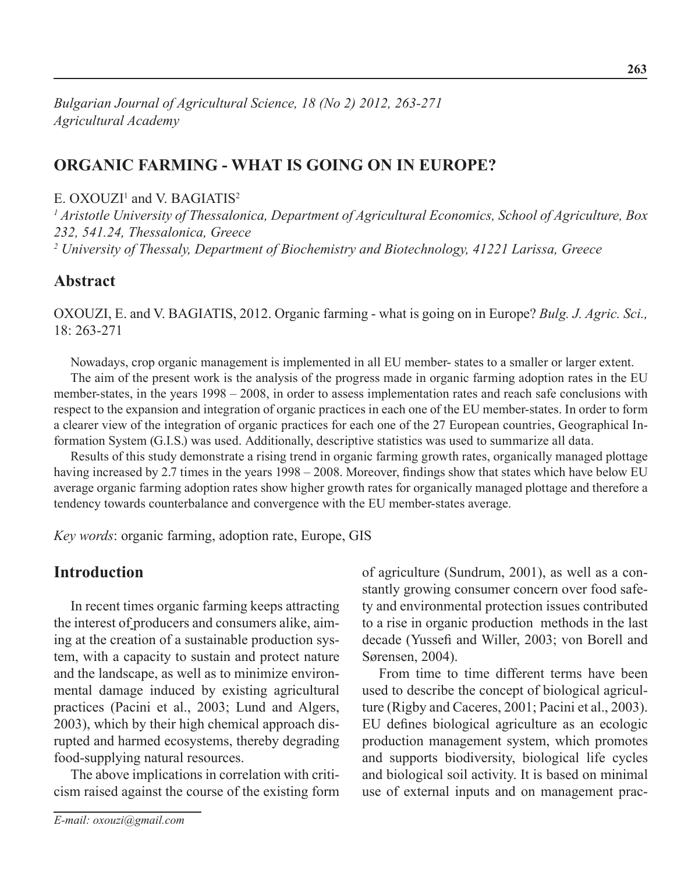*Bulgarian Journal of Agricultural Science, 18 (No 2) 2012, 263-271 Agricultural Academy*

# **Organic farming - WHAT IS going on in Europe?**

#### $E. OXOLZI<sup>1</sup>$  and V. BAGIATIS<sup>2</sup>

*1 Aristotle University of Thessalonica, Department of Agricultural Economics, School of Agriculture, Box 232, 541.24, Thessalonica, Greece 2 University of Thessaly, Department of Biochemistry and Biotechnology, 41221 Larissa, Greece*

#### **Abstract**

Oxouzi, E. and V. Bagiatis, 2012. Organic farming - what is going on in Europe? *Bulg. J. Agric. Sci.,* 18: 263-271

Nowadays, crop organic management is implemented in all EU member- states to a smaller or larger extent.

The aim of the present work is the analysis of the progress made in organic farming adoption rates in the EU member-states, in the years 1998 – 2008, in order to assess implementation rates and reach safe conclusions with respect to the expansion and integration of organic practices in each one of the EU member-states. In order to form a clearer view of the integration of organic practices for each one of the 27 European countries, Geographical Information System (G.I.S.) was used. Additionally, descriptive statistics was used to summarize all data.

Results of this study demonstrate a rising trend in organic farming growth rates, organically managed plottage having increased by 2.7 times in the years 1998 – 2008. Moreover, findings show that states which have below EU average organic farming adoption rates show higher growth rates for organically managed plottage and therefore a tendency towards counterbalance and convergence with the EU member-states average.

*Key words*: organic farming, adoption rate, Europe, GIS

## **Introduction**

In recent times organic farming keeps attracting the interest of producers and consumers alike, aiming at the creation of a sustainable production system, with a capacity to sustain and protect nature and the landscape, as well as to minimize environmental damage induced by existing agricultural practices (Pacini et al., 2003; Lund and Algers, 2003), which by their high chemical approach disrupted and harmed ecosystems, thereby degrading food-supplying natural resources.

The above implications in correlation with criticism raised against the course of the existing form of agriculture (Sundrum, 2001), as well as a constantly growing consumer concern over food safety and environmental protection issues contributed to a rise in organic production methods in the last decade (Yussefi and Willer, 2003; von Borell and Sørensen, 2004).

From time to time different terms have been used to describe the concept of biological agriculture (Rigby and Caceres, 2001; Pacini et al., 2003). EU defines biological agriculture as an ecologic production management system, which promotes and supports biodiversity, biological life cycles and biological soil activity. It is based on minimal use of external inputs and on management prac-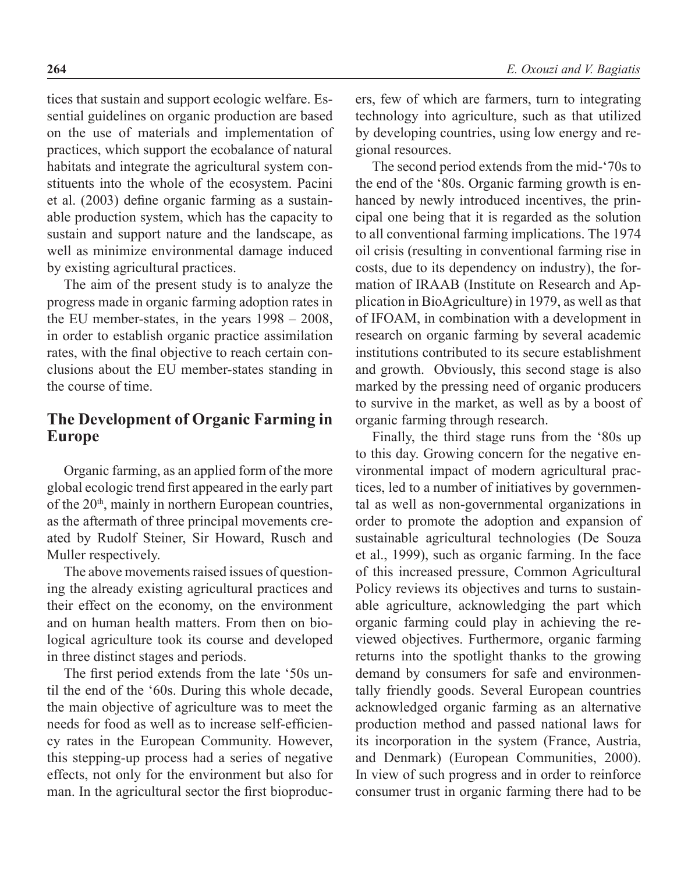tices that sustain and support ecologic welfare. Essential guidelines on organic production are based on the use of materials and implementation of practices, which support the ecobalance of natural habitats and integrate the agricultural system constituents into the whole of the ecosystem. Pacini et al. (2003) define organic farming as a sustainable production system, which has the capacity to sustain and support nature and the landscape, as well as minimize environmental damage induced by existing agricultural practices.

The aim of the present study is to analyze the progress made in organic farming adoption rates in the EU member-states, in the years 1998 – 2008, in order to establish organic practice assimilation rates, with the final objective to reach certain conclusions about the EU member-states standing in the course of time.

# **The Development of Organic Farming in Europe**

Organic farming, as an applied form of the more global ecologic trend first appeared in the early part of the  $20<sup>th</sup>$ , mainly in northern European countries, as the aftermath of three principal movements created by Rudolf Steiner, Sir Howard, Rusch and Muller respectively.

The above movements raised issues of questioning the already existing agricultural practices and their effect on the economy, on the environment and on human health matters. From then on biological agriculture took its course and developed in three distinct stages and periods.

The first period extends from the late '50s until the end of the '60s. During this whole decade, the main objective of agriculture was to meet the needs for food as well as to increase self-efficiency rates in the European Community. However, this stepping-up process had a series of negative effects, not only for the environment but also for man. In the agricultural sector the first bioproduc-

ers, few of which are farmers, turn to integrating technology into agriculture, such as that utilized by developing countries, using low energy and regional resources.

The second period extends from the mid-'70s to the end of the '80s. Organic farming growth is enhanced by newly introduced incentives, the principal one being that it is regarded as the solution to all conventional farming implications. The 1974 oil crisis (resulting in conventional farming rise in costs, due to its dependency on industry), the formation of IRAAB (Institute on Research and Application in BioAgriculture) in 1979, as well as that of IFOAM, in combination with a development in research on organic farming by several academic institutions contributed to its secure establishment and growth. Obviously, this second stage is also marked by the pressing need of organic producers to survive in the market, as well as by a boost of organic farming through research.

Finally, the third stage runs from the '80s up to this day. Growing concern for the negative environmental impact of modern agricultural practices, led to a number of initiatives by governmental as well as non-governmental organizations in order to promote the adoption and expansion of sustainable agricultural technologies (De Souza et al., 1999), such as organic farming. In the face of this increased pressure, Common Agricultural Policy reviews its objectives and turns to sustainable agriculture, acknowledging the part which organic farming could play in achieving the reviewed objectives. Furthermore, organic farming returns into the spotlight thanks to the growing demand by consumers for safe and environmentally friendly goods. Several European countries acknowledged organic farming as an alternative production method and passed national laws for its incorporation in the system (France, Austria, and Denmark) (European Communities, 2000). In view of such progress and in order to reinforce consumer trust in organic farming there had to be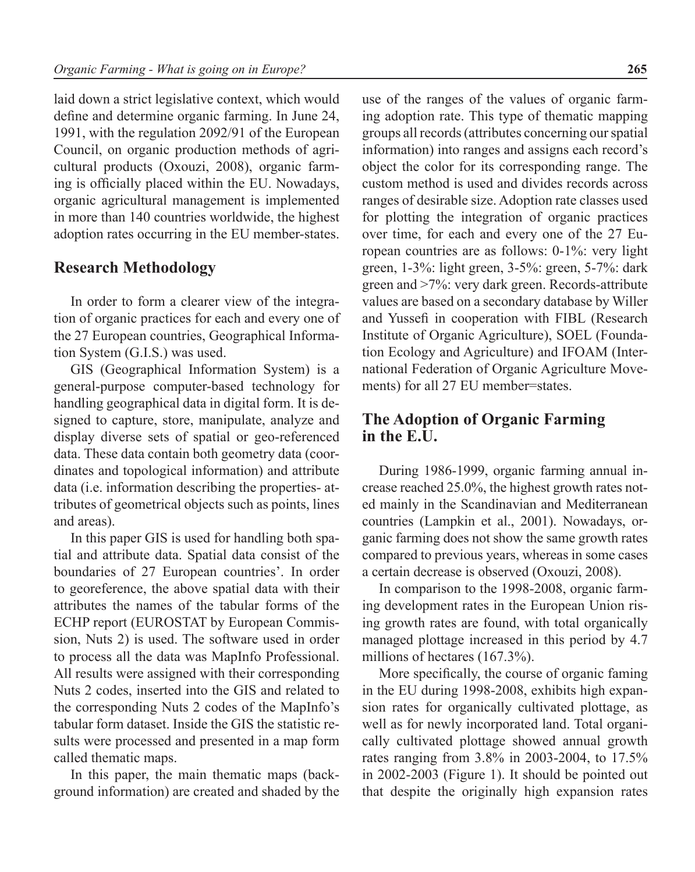laid down a strict legislative context, which would define and determine organic farming. In June 24, 1991, with the regulation 2092/91 of the European Council, on organic production methods of agricultural products (Oxouzi, 2008), organic farming is officially placed within the EU. Nowadays, organic agricultural management is implemented in more than 140 countries worldwide, the highest adoption rates occurring in the EU member-states.

### **Research Methodology**

In order to form a clearer view of the integration of organic practices for each and every one of the 27 European countries, Geographical Information System (G.I.S.) was used.

GIS (Geographical Information System) is a general-purpose computer-based technology for handling geographical data in digital form. It is designed to capture, store, manipulate, analyze and display diverse sets of spatial or geo-referenced data. These data contain both geometry data (coordinates and topological information) and attribute data (i.e. information describing the properties- attributes of geometrical objects such as points, lines and areas).

In this paper GIS is used for handling both spatial and attribute data. Spatial data consist of the boundaries of 27 European countries'. In order to georeference, the above spatial data with their attributes the names of the tabular forms of the ECHP report (EUROSTAT by European Commission, Nuts 2) is used. The software used in order to process all the data was MapInfo Professional. All results were assigned with their corresponding Nuts 2 codes, inserted into the GIS and related to the corresponding Nuts 2 codes of the MapInfo's tabular form dataset. Inside the GIS the statistic results were processed and presented in a map form called thematic maps.

In this paper, the main thematic maps (background information) are created and shaded by the

use of the ranges of the values of organic farming adoption rate. This type of thematic mapping groups all records (attributes concerning our spatial information) into ranges and assigns each record's object the color for its corresponding range. The custom method is used and divides records across ranges of desirable size. Adoption rate classes used for plotting the integration of organic practices over time, for each and every one of the 27 European countries are as follows: 0-1%: very light green, 1-3%: light green, 3-5%: green, 5-7%: dark green and >7%: very dark green. Records-attribute values are based on a secondary database by Willer and Yussefi in cooperation with FIBL (Research Institute of Organic Agriculture), SOEL (Foundation Ecology and Agriculture) and IFOAM (International Federation of Organic Agriculture Movements) for all 27 EU member=states.

## **The Adoption of Organic Farming in the E.U.**

During 1986-1999, organic farming annual increase reached 25.0%, the highest growth rates noted mainly in the Scandinavian and Mediterranean countries (Lampkin et al., 2001). Nowadays, organic farming does not show the same growth rates compared to previous years, whereas in some cases a certain decrease is observed (Oxouzi, 2008).

In comparison to the 1998-2008, organic farming development rates in the European Union rising growth rates are found, with total organically managed plottage increased in this period by 4.7 millions of hectares (167.3%).

More specifically, the course of organic faming in the EU during 1998-2008, exhibits high expansion rates for organically cultivated plottage, as well as for newly incorporated land. Total organically cultivated plottage showed annual growth rates ranging from 3.8% in 2003-2004, to 17.5% in 2002-2003 (Figure 1). It should be pointed out that despite the originally high expansion rates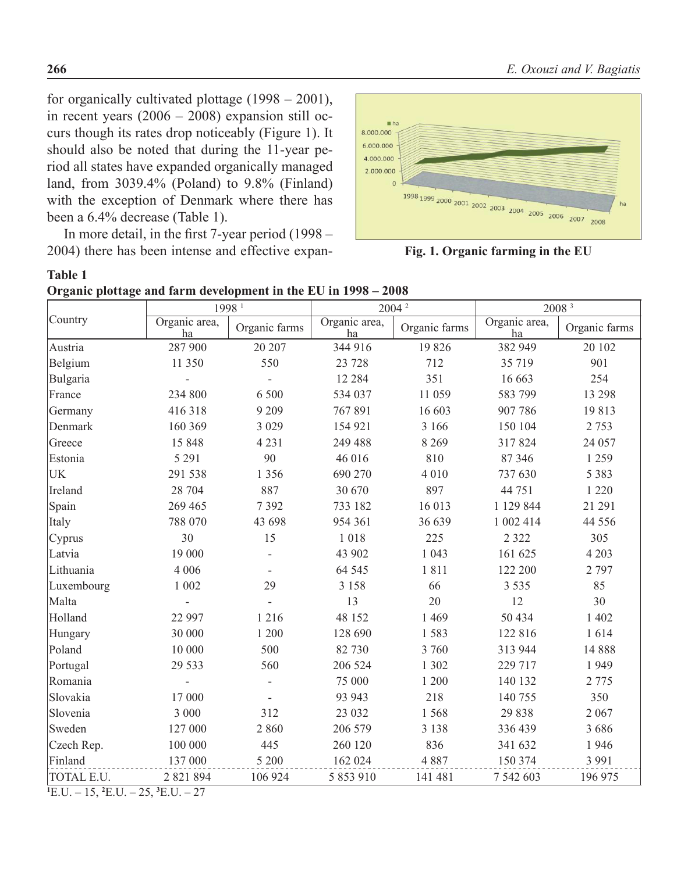for organically cultivated plottage  $(1998 - 2001)$ , in recent years (2006 – 2008) expansion still occurs though its rates drop noticeably (Figure 1). It should also be noted that during the 11-year period all states have expanded organically managed land, from 3039.4% (Poland) to 9.8% (Finland) with the exception of Denmark where there has been a 6.4% decrease (Table 1).

In more detail, in the first 7-year period (1998 – 2004) there has been intense and effective expan-



**Fig. 1. Organic farming in the EU**

|  | Organic plottage and farm development in the EU in 1998 - 2008 |  |  |
|--|----------------------------------------------------------------|--|--|
|  |                                                                |  |  |

|            | 1998 <sup>1</sup>   |               | 2004 <sup>2</sup>   |               | 2008 3              |               |
|------------|---------------------|---------------|---------------------|---------------|---------------------|---------------|
| Country    | Organic area,<br>ha | Organic farms | Organic area,<br>ha | Organic farms | Organic area,<br>ha | Organic farms |
| Austria    | 287 900             | 20 20 7       | 344 916             | 19826         | 382 949             | 20 102        |
| Belgium    | 11 350              | 550           | 23 7 28             | 712           | 35 719              | 901           |
| Bulgaria   |                     |               | 12 2 8 4            | 351           | 16 663              | 254           |
| France     | 234 800             | 6 500         | 534 037             | 11 059        | 583 799             | 13 298        |
| Germany    | 416318              | 9 2 0 9       | 767891              | 16 603        | 907 786             | 19813         |
| Denmark    | 160 369             | 3 0 2 9       | 154 921             | 3 16 6        | 150 104             | 2 7 5 3       |
| Greece     | 15 848              | 4 2 3 1       | 249 488             | 8 2 6 9       | 317824              | 24 057        |
| Estonia    | 5 2 9 1             | 90            | 46 016              | 810           | 87 346              | 1 2 5 9       |
| <b>UK</b>  | 291 538             | 1 3 5 6       | 690 270             | 4 0 1 0       | 737 630             | 5 3 8 3       |
| Ireland    | 28 704              | 887           | 30 670              | 897           | 44 751              | 1 2 2 0       |
| Spain      | 269 465             | 7392          | 733 182             | 16 013        | 1 129 844           | 21 29 1       |
| Italy      | 788 070             | 43 698        | 954 361             | 36 639        | 1 002 414           | 44 5 5 6      |
| Cyprus     | 30                  | 15            | 1018                | 225           | 2 3 2 2             | 305           |
| Latvia     | 19 000              |               | 43 902              | 1 0 4 3       | 161 625             | 4 2 0 3       |
| Lithuania  | 4 0 0 6             |               | 64 5 45             | 1811          | 122 200             | 2 7 9 7       |
| Luxembourg | 1 002               | 29            | 3 1 5 8             | 66            | 3 5 3 5             | 85            |
| Malta      |                     |               | 13                  | 20            | 12                  | 30            |
| Holland    | 22 997              | 1 2 1 6       | 48 152              | 1 4 6 9       | 50 434              | 1 402         |
| Hungary    | 30 000              | 1 200         | 128 690             | 1583          | 122 816             | 1614          |
| Poland     | 10 000              | 500           | 82 730              | 3 760         | 313 944             | 14 8 8 8      |
| Portugal   | 29 5 33             | 560           | 206 524             | 1 302         | 229 717             | 1949          |
| Romania    |                     |               | 75 000              | 1 200         | 140 132             | 2 7 7 5       |
| Slovakia   | 17 000              |               | 93 943              | 218           | 140 755             | 350           |
| Slovenia   | 3 000               | 312           | 23 032              | 1568          | 29 838              | 2 0 6 7       |
| Sweden     | 127 000             | 2860          | 206 579             | 3 1 3 8       | 336 439             | 3 6 8 6       |
| Czech Rep. | 100 000             | 445           | 260 120             | 836           | 341 632             | 1946          |
| Finland    | 137 000             | 5 200         | 162 024             | 4 8 8 7       | 150 374             | 3 9 9 1       |
| TOTAL E.U. | 2 821 894           | 106 924       | 5 853 910           | 141 481       | 7 542 603           | 196 975       |

 $^1$ E.U. – 15,  $^2$ E.U. – 25,  $^3$ E.U. – 27

**Table 1**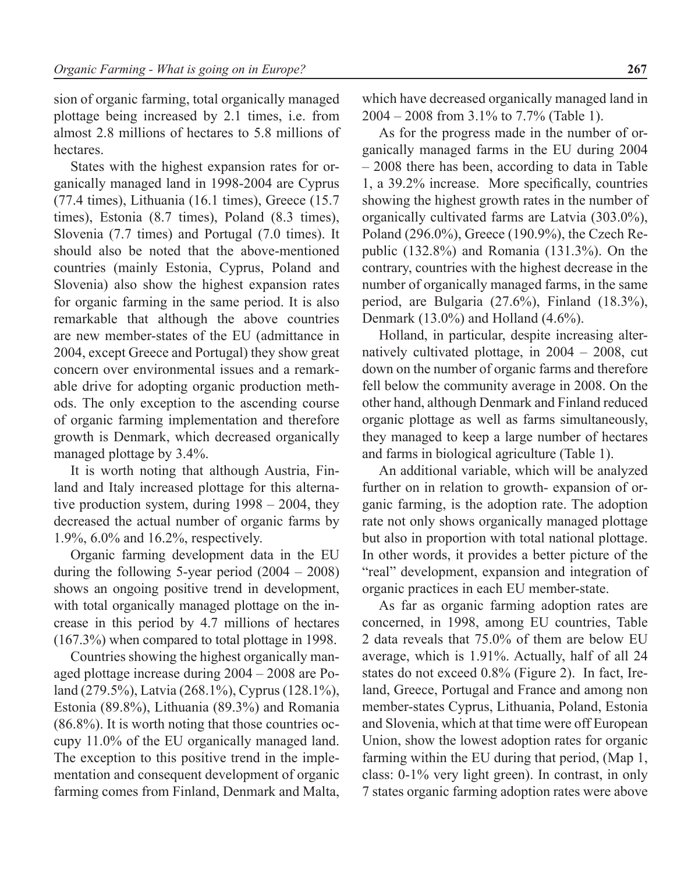sion of organic farming, total organically managed plottage being increased by 2.1 times, i.e. from almost 2.8 millions of hectares to 5.8 millions of hectares.

States with the highest expansion rates for organically managed land in 1998-2004 are Cyprus (77.4 times), Lithuania (16.1 times), Greece (15.7 times), Estonia (8.7 times), Poland (8.3 times), Slovenia (7.7 times) and Portugal (7.0 times). It should also be noted that the above-mentioned countries (mainly Estonia, Cyprus, Poland and Slovenia) also show the highest expansion rates for organic farming in the same period. It is also remarkable that although the above countries are new member-states of the EU (admittance in 2004, except Greece and Portugal) they show great concern over environmental issues and a remarkable drive for adopting organic production methods. The only exception to the ascending course of organic farming implementation and therefore growth is Denmark, which decreased organically managed plottage by 3.4%.

It is worth noting that although Austria, Finland and Italy increased plottage for this alternative production system, during 1998 – 2004, they decreased the actual number of organic farms by 1.9%, 6.0% and 16.2%, respectively.

Organic farming development data in the EU during the following 5-year period (2004 – 2008) shows an ongoing positive trend in development, with total organically managed plottage on the increase in this period by 4.7 millions of hectares (167.3%) when compared to total plottage in 1998.

Countries showing the highest organically managed plottage increase during 2004 – 2008 are Poland (279.5%), Latvia (268.1%), Cyprus (128.1%), Estonia (89.8%), Lithuania (89.3%) and Romania (86.8%). It is worth noting that those countries occupy 11.0% of the EU organically managed land. The exception to this positive trend in the implementation and consequent development of organic farming comes from Finland, Denmark and Malta,

which have decreased organically managed land in 2004 – 2008 from 3.1% to 7.7% (Table 1).

As for the progress made in the number of organically managed farms in the EU during 2004 – 2008 there has been, according to data in Table 1, a 39.2% increase. More specifically, countries showing the highest growth rates in the number of organically cultivated farms are Latvia (303.0%), Poland (296.0%), Greece (190.9%), the Czech Republic (132.8%) and Romania (131.3%). On the contrary, countries with the highest decrease in the number of organically managed farms, in the same period, are Bulgaria (27.6%), Finland (18.3%), Denmark (13.0%) and Holland (4.6%).

Holland, in particular, despite increasing alternatively cultivated plottage, in 2004 – 2008, cut down on the number of organic farms and therefore fell below the community average in 2008. On the other hand, although Denmark and Finland reduced organic plottage as well as farms simultaneously, they managed to keep a large number of hectares and farms in biological agriculture (Table 1).

An additional variable, which will be analyzed further on in relation to growth- expansion of organic farming, is the adoption rate. The adoption rate not only shows organically managed plottage but also in proportion with total national plottage. In other words, it provides a better picture of the "real" development, expansion and integration of organic practices in each EU member-state.

As far as organic farming adoption rates are concerned, in 1998, among EU countries, Table 2 data reveals that 75.0% of them are below EU average, which is 1.91%. Actually, half of all 24 states do not exceed 0.8% (Figure 2). In fact, Ireland, Greece, Portugal and France and among non member-states Cyprus, Lithuania, Poland, Estonia and Slovenia, which at that time were off European Union, show the lowest adoption rates for organic farming within the EU during that period, (Map 1, class: 0-1% very light green). In contrast, in only 7 states organic farming adoption rates were above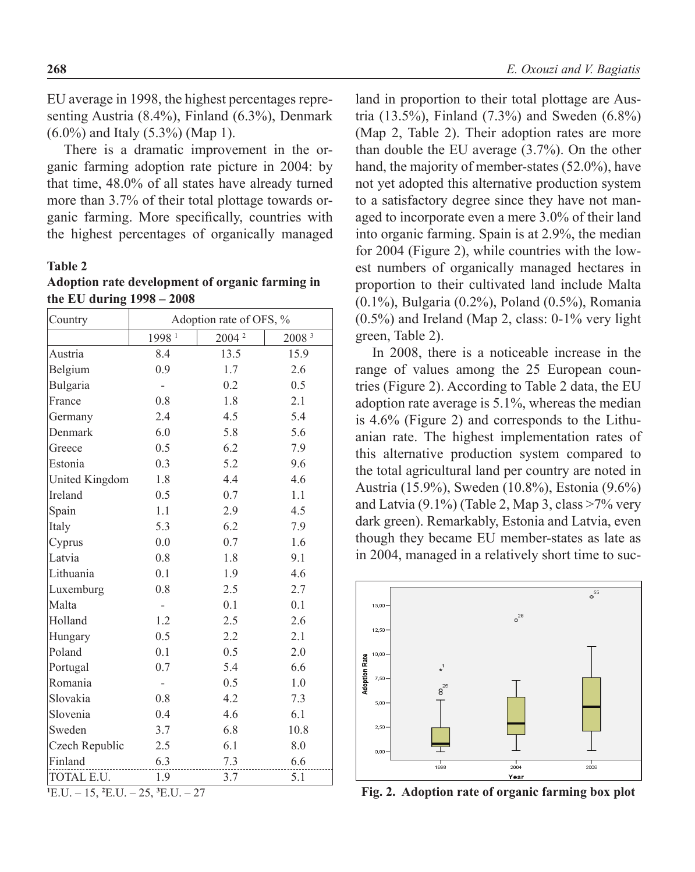EU average in 1998, the highest percentages representing Austria (8.4%), Finland (6.3%), Denmark (6.0%) and Italy (5.3%) (Map 1).

There is a dramatic improvement in the organic farming adoption rate picture in 2004: by that time, 48.0% of all states have already turned more than 3.7% of their total plottage towards organic farming. More specifically, countries with the highest percentages of organically managed

#### **Table 2**

| Adoption rate development of organic farming in |  |
|-------------------------------------------------|--|
| the EU during $1998 - 2008$                     |  |

| Country        | Adoption rate of OFS, % |                   |                   |  |  |
|----------------|-------------------------|-------------------|-------------------|--|--|
|                | 1998 <sup>1</sup>       | 2004 <sup>2</sup> | 2008 <sup>3</sup> |  |  |
| Austria        | 8.4                     | 13.5              | 15.9              |  |  |
| Belgium        | 0.9                     | 1.7               | 2.6               |  |  |
| Bulgaria       |                         | 0.2               | 0.5               |  |  |
| France         | 0.8                     | 1.8               | 2.1               |  |  |
| Germany        | 2.4                     | 4.5               | 5.4               |  |  |
| Denmark        | 6.0                     | 5.8               | 5.6               |  |  |
| Greece         | 0.5                     | 6.2               | 7.9               |  |  |
| Estonia        | 0.3                     | 5.2               | 9.6               |  |  |
| United Kingdom | 1.8                     | 4.4               | 4.6               |  |  |
| Ireland        | 0.5                     | 0.7               | 1.1               |  |  |
| Spain          | 1.1                     | 2.9               | 4.5               |  |  |
| Italy          | 5.3                     | 6.2               | 7.9               |  |  |
| Cyprus         | 0.0                     | 0.7               | 1.6               |  |  |
| Latvia         | 0.8                     | 1.8               | 9.1               |  |  |
| Lithuania      | 0.1                     | 1.9               | 4.6               |  |  |
| Luxemburg      | 0.8                     | 2.5               | 2.7               |  |  |
| Malta          |                         | 0.1               | 0.1               |  |  |
| Holland        | 1.2                     | 2.5               | 2.6               |  |  |
| Hungary        | 0.5                     | 2.2               | 2.1               |  |  |
| Poland         | 0.1                     | 0.5               | 2.0               |  |  |
| Portugal       | 0.7                     | 5.4               | 6.6               |  |  |
| Romania        |                         | 0.5               | 1.0               |  |  |
| Slovakia       | 0.8                     | 4.2               | 7.3               |  |  |
| Slovenia       | 0.4                     | 4.6               | 6.1               |  |  |
| Sweden         | 3.7                     | 6.8               | 10.8              |  |  |
| Czech Republic | 2.5                     | 6.1               | 8.0               |  |  |
| Finland        | 6.3                     | 7.3               | 6.6               |  |  |
| TOTAL E.U.     | 1.9                     | 3.7               | 5.1               |  |  |

 $^1$ E.U. – 15,  $^2$ E.U. – 25,  $^3$ E.U. – 27

land in proportion to their total plottage are Austria (13.5%), Finland (7.3%) and Sweden (6.8%) (Map 2, Table 2). Their adoption rates are more than double the EU average (3.7%). On the other hand, the majority of member-states (52.0%), have not yet adopted this alternative production system to a satisfactory degree since they have not managed to incorporate even a mere 3.0% of their land into organic farming. Spain is at 2.9%, the median for 2004 (Figure 2), while countries with the lowest numbers of organically managed hectares in proportion to their cultivated land include Malta (0.1%), Bulgaria (0.2%), Poland (0.5%), Romania (0.5%) and Ireland (Map 2, class: 0-1% very light green, Table 2).

In 2008, there is a noticeable increase in the range of values among the 25 European countries (Figure 2). According to Table 2 data, the EU adoption rate average is 5.1%, whereas the median is 4.6% (Figure 2) and corresponds to the Lithuanian rate. The highest implementation rates of this alternative production system compared to the total agricultural land per country are noted in Austria (15.9%), Sweden (10.8%), Estonia (9.6%) and Latvia  $(9.1\%)$  (Table 2, Map 3, class  $>7\%$  very dark green). Remarkably, Estonia and Latvia, even though they became EU member-states as late as in 2004, managed in a relatively short time to suc-



**Fig. 2. Adoption rate of organic farming box plot**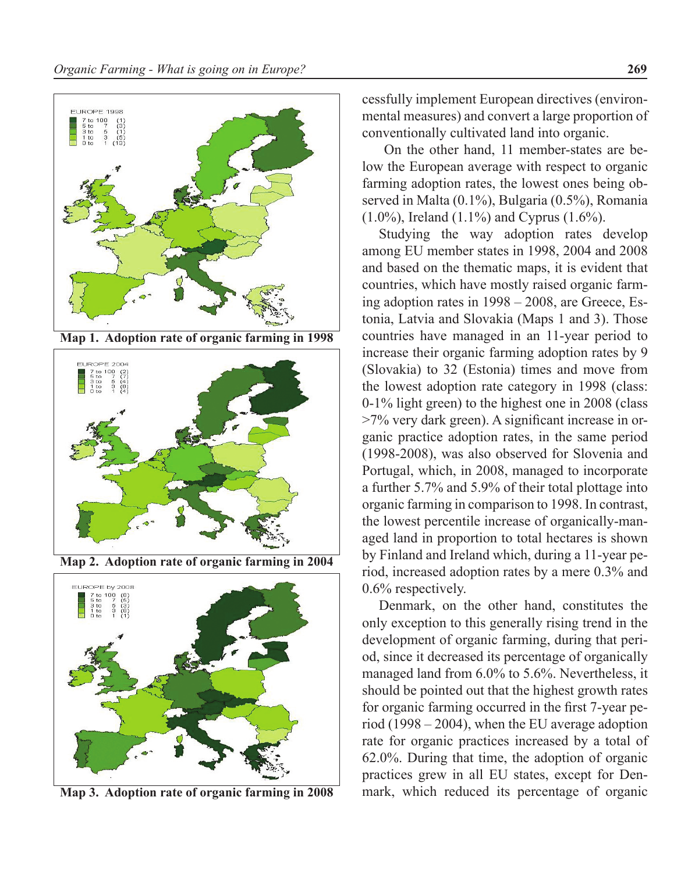

**Map 1. Adoption rate of organic farming in 1998**



**Map 2. Adoption rate of organic farming in 2004**



**Map 3. Adoption rate of organic farming in 2008**

cessfully implement European directives (environmental measures) and convert a large proportion of conventionally cultivated land into organic.

 On the other hand, 11 member-states are below the European average with respect to organic farming adoption rates, the lowest ones being observed in Malta (0.1%), Bulgaria (0.5%), Romania (1.0%), Ireland (1.1%) and Cyprus (1.6%).

Studying the way adoption rates develop among EU member states in 1998, 2004 and 2008 and based on the thematic maps, it is evident that countries, which have mostly raised organic farming adoption rates in 1998 – 2008, are Greece, Estonia, Latvia and Slovakia (Maps 1 and 3). Those countries have managed in an 11-year period to increase their organic farming adoption rates by 9 (Slovakia) to 32 (Estonia) times and move from the lowest adoption rate category in 1998 (class: 0-1% light green) to the highest one in 2008 (class >7% very dark green). A significant increase in organic practice adoption rates, in the same period (1998-2008), was also observed for Slovenia and Portugal, which, in 2008, managed to incorporate a further 5.7% and 5.9% of their total plottage into organic farming in comparison to 1998. In contrast, the lowest percentile increase of organically-managed land in proportion to total hectares is shown by Finland and Ireland which, during a 11-year period, increased adoption rates by a mere 0.3% and 0.6% respectively.

Denmark, on the other hand, constitutes the only exception to this generally rising trend in the development of organic farming, during that period, since it decreased its percentage of organically managed land from 6.0% to 5.6%. Nevertheless, it should be pointed out that the highest growth rates for organic farming occurred in the first 7-year period (1998 – 2004), when the EU average adoption rate for organic practices increased by a total of 62.0%. During that time, the adoption of organic practices grew in all EU states, except for Denmark, which reduced its percentage of organic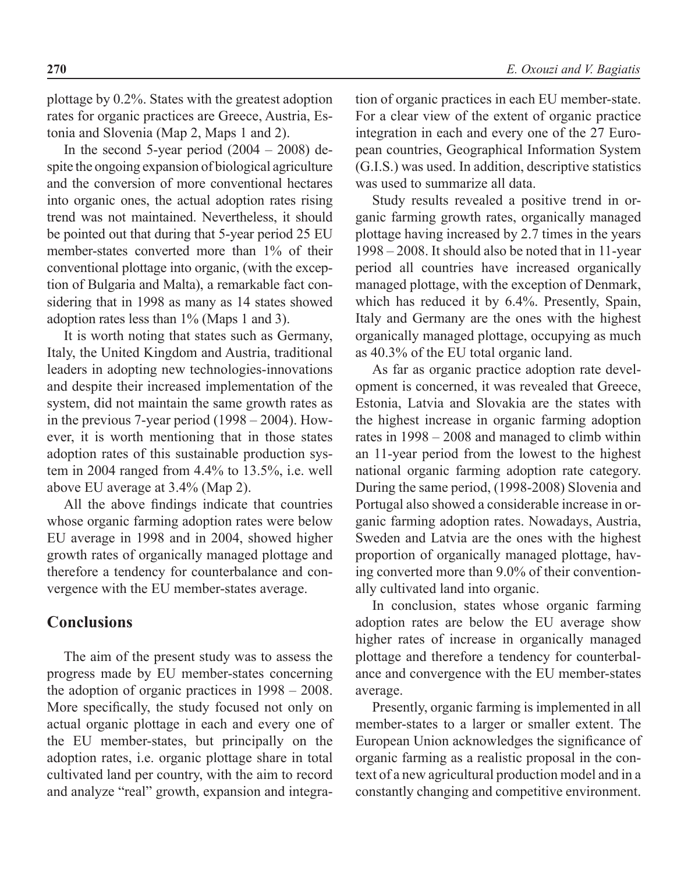plottage by 0.2%. States with the greatest adoption rates for organic practices are Greece, Austria, Estonia and Slovenia (Map 2, Maps 1 and 2).

In the second 5-year period  $(2004 - 2008)$  despite the ongoing expansion of biological agriculture and the conversion of more conventional hectares into organic ones, the actual adoption rates rising trend was not maintained. Nevertheless, it should be pointed out that during that 5-year period 25 EU member-states converted more than 1% of their conventional plottage into organic, (with the exception of Bulgaria and Malta), a remarkable fact considering that in 1998 as many as 14 states showed adoption rates less than 1% (Maps 1 and 3).

It is worth noting that states such as Germany, Italy, the United Kingdom and Austria, traditional leaders in adopting new technologies-innovations and despite their increased implementation of the system, did not maintain the same growth rates as in the previous 7-year period (1998 – 2004). However, it is worth mentioning that in those states adoption rates of this sustainable production system in 2004 ranged from 4.4% to 13.5%, i.e. well above EU average at 3.4% (Map 2).

All the above findings indicate that countries whose organic farming adoption rates were below EU average in 1998 and in 2004, showed higher growth rates of organically managed plottage and therefore a tendency for counterbalance and convergence with the EU member-states average.

#### **Conclusions**

The aim of the present study was to assess the progress made by EU member-states concerning the adoption of organic practices in 1998 – 2008. More specifically, the study focused not only on actual organic plottage in each and every one of the EU member-states, but principally on the adoption rates, i.e. organic plottage share in total cultivated land per country, with the aim to record and analyze "real" growth, expansion and integra-

tion of organic practices in each EU member-state. For a clear view of the extent of organic practice integration in each and every one of the 27 European countries, Geographical Information System (G.I.S.) was used. In addition, descriptive statistics was used to summarize all data.

Study results revealed a positive trend in organic farming growth rates, organically managed plottage having increased by 2.7 times in the years 1998 – 2008. It should also be noted that in 11-year period all countries have increased organically managed plottage, with the exception of Denmark, which has reduced it by 6.4%. Presently, Spain, Italy and Germany are the ones with the highest organically managed plottage, occupying as much as 40.3% of the EU total organic land.

As far as organic practice adoption rate development is concerned, it was revealed that Greece, Estonia, Latvia and Slovakia are the states with the highest increase in organic farming adoption rates in 1998 – 2008 and managed to climb within an 11-year period from the lowest to the highest national organic farming adoption rate category. During the same period, (1998-2008) Slovenia and Portugal also showed a considerable increase in organic farming adoption rates. Nowadays, Austria, Sweden and Latvia are the ones with the highest proportion of organically managed plottage, having converted more than 9.0% of their conventionally cultivated land into organic.

In conclusion, states whose organic farming adoption rates are below the EU average show higher rates of increase in organically managed plottage and therefore a tendency for counterbalance and convergence with the EU member-states average.

Presently, organic farming is implemented in all member-states to a larger or smaller extent. The European Union acknowledges the significance of organic farming as a realistic proposal in the context of a new agricultural production model and in a constantly changing and competitive environment.